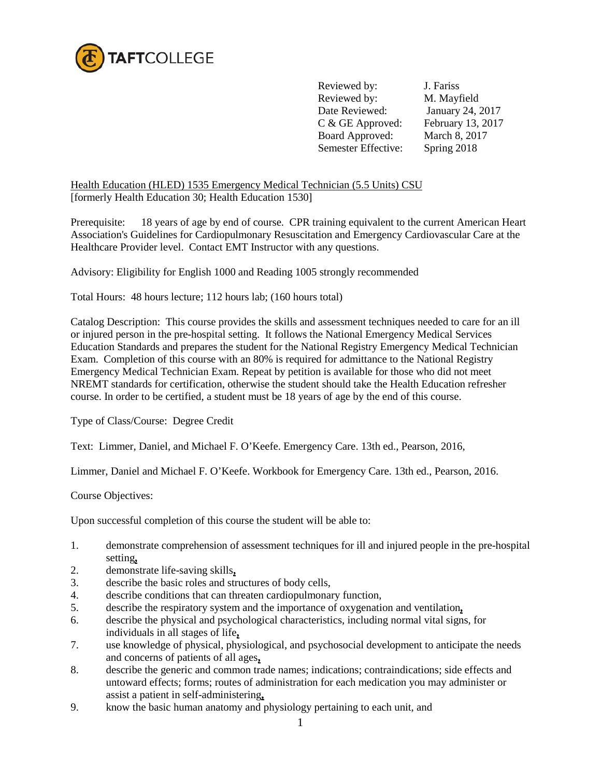

Reviewed by: J. Fariss Reviewed by: M. Mayfield Date Reviewed: January 24, 2017 C & GE Approved: February 13, 2017 Board Approved: March 8, 2017 Semester Effective: Spring 2018

Health Education (HLED) 1535 Emergency Medical Technician (5.5 Units) CSU [formerly Health Education 30; Health Education 1530]

Prerequisite: 18 years of age by end of course. CPR training equivalent to the current American Heart Association's Guidelines for Cardiopulmonary Resuscitation and Emergency Cardiovascular Care at the Healthcare Provider level. Contact EMT Instructor with any questions.

Advisory: Eligibility for English 1000 and Reading 1005 strongly recommended

Total Hours: 48 hours lecture; 112 hours lab; (160 hours total)

Catalog Description: This course provides the skills and assessment techniques needed to care for an ill or injured person in the pre-hospital setting. It follows the National Emergency Medical Services Education Standards and prepares the student for the National Registry Emergency Medical Technician Exam.Completion of this course with an 80% is required for admittance to the National Registry Emergency Medical Technician Exam. Repeat by petition is available for those who did not meet NREMT standards for certification, otherwise the student should take the Health Education refresher course. In order to be certified, a student must be 18 years of age by the end of this course.

Type of Class/Course: Degree Credit

Text: Limmer, Daniel, and Michael F. O'Keefe. Emergency Care. 13th ed., Pearson, 2016,

Limmer, Daniel and Michael F. O'Keefe. Workbook for Emergency Care. 13th ed., Pearson, 2016.

Course Objectives:

Upon successful completion of this course the student will be able to:

- 1. demonstrate comprehension of assessment techniques for ill and injured people in the pre-hospital setting**,**
- 2. demonstrate life-saving skills**,**
- 3. describe the basic roles and structures of body cells,
- 4. describe conditions that can threaten cardiopulmonary function,
- 5. describe the respiratory system and the importance of oxygenation and ventilation**,**
- 6. describe the physical and psychological characteristics, including normal vital signs, for individuals in all stages of life**,**
- 7. use knowledge of physical, physiological, and psychosocial development to anticipate the needs and concerns of patients of all ages**,**
- 8. describe the generic and common trade names; indications; contraindications; side effects and untoward effects; forms; routes of administration for each medication you may administer or assist a patient in self-administering**,**
- 9. know the basic human anatomy and physiology pertaining to each unit, and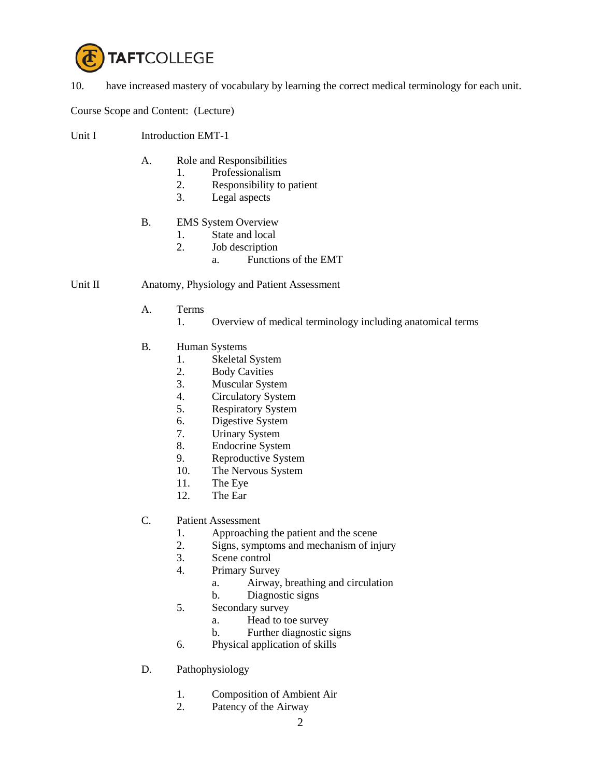

10. have increased mastery of vocabulary by learning the correct medical terminology for each unit.

Course Scope and Content: (Lecture)

- Unit I Introduction EMT-1
	- A. Role and Responsibilities
		- 1. Professionalism
		- 2. Responsibility to patient
		- 3. Legal aspects
	- B. EMS System Overview
		- 1. State and local
		- 2. Job description
			- a. Functions of the EMT

#### Unit II Anatomy, Physiology and Patient Assessment

- A. Terms
	- 1. Overview of medical terminology including anatomical terms
- B. Human Systems
	- 1. Skeletal System
	- 2. Body Cavities
	- 3. Muscular System
	- 4. Circulatory System
	- 5. Respiratory System
	- 6. Digestive System
	- 7. Urinary System
	- 8. Endocrine System
	- 9. Reproductive System
	- 10. The Nervous System
	- 11. The Eye
	- 12. The Ear
- C. Patient Assessment
	- 1. Approaching the patient and the scene
	- 2. Signs, symptoms and mechanism of injury
	- 3. Scene control
	- 4. Primary Survey
		- a. Airway, breathing and circulation
		- b. Diagnostic signs
	- 5. Secondary survey
		- a. Head to toe survey
		- b. Further diagnostic signs
	- 6. Physical application of skills
- D. Pathophysiology
	- 1. Composition of Ambient Air
	- 2. Patency of the Airway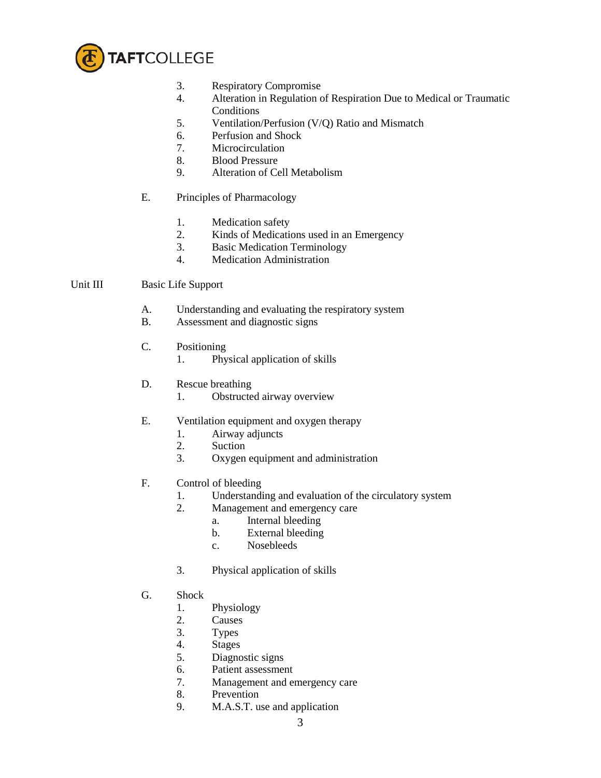

- 3. Respiratory Compromise
- 4. Alteration in Regulation of Respiration Due to Medical or Traumatic Conditions
- 5. Ventilation/Perfusion (V/Q) Ratio and Mismatch
- 6. Perfusion and Shock
- 7. Microcirculation
- 8. Blood Pressure
- 9. Alteration of Cell Metabolism
- E. Principles of Pharmacology
	- 1. Medication safety
	- 2. Kinds of Medications used in an Emergency
	- 3. Basic Medication Terminology
	- 4. Medication Administration

### Unit III Basic Life Support

- A. Understanding and evaluating the respiratory system
- B. Assessment and diagnostic signs
- C. Positioning
	- 1. Physical application of skills
- D. Rescue breathing
	- 1. Obstructed airway overview
- E. Ventilation equipment and oxygen therapy
	- 1. Airway adjuncts
	- 2. Suction
	- 3. Oxygen equipment and administration
- F. Control of bleeding
	- 1. Understanding and evaluation of the circulatory system
	- 2. Management and emergency care
		- a. Internal bleeding
		- b. External bleeding
		- c. Nosebleeds
	- 3. Physical application of skills
- G. Shock
	- 1. Physiology
	- 2. Causes
	- 3. Types
	- 4. Stages
	- 5. Diagnostic signs
	- 6. Patient assessment
	- 7. Management and emergency care
	- 8. Prevention
	- 9. M.A.S.T. use and application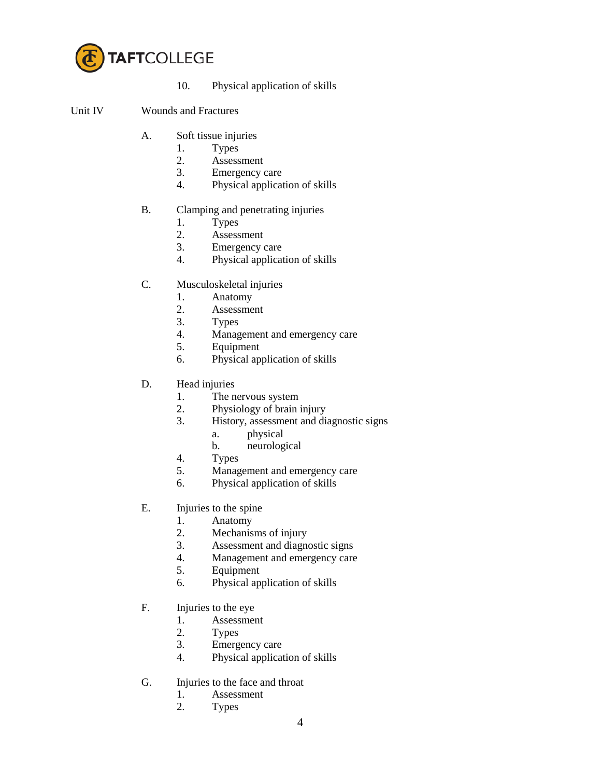

10. Physical application of skills

### Unit IV Wounds and Fractures

- A. Soft tissue injuries
	- 1. Types<br>2. Assess
	- Assessment
	- 3. Emergency care
	- 4. Physical application of skills

# B. Clamping and penetrating injuries

- 1. Types
- 2. Assessment
- 3. Emergency care
- 4. Physical application of skills
- C. Musculoskeletal injuries
	- 1. Anatomy
	- 2. Assessment
	- 3. Types
	- 4. Management and emergency care
	- 5. Equipment
	- 6. Physical application of skills
- D. Head injuries
	- 1. The nervous system
	- 2. Physiology of brain injury
	- 3. History, assessment and diagnostic signs
		- a. physical
		- b. neurological
	- 4. Types
	- 5. Management and emergency care
	- 6. Physical application of skills
- E. Injuries to the spine
	- 1. Anatomy
	- 2. Mechanisms of injury
	- 3. Assessment and diagnostic signs
	- 4. Management and emergency care
	- 5. Equipment
	- 6. Physical application of skills
- F. Injuries to the eye
	- 1. Assessment<br>2. Types
	- **Types**
	- 3. Emergency care
	- 4. Physical application of skills
- G. Injuries to the face and throat
	- 1. Assessment
	- 2. Types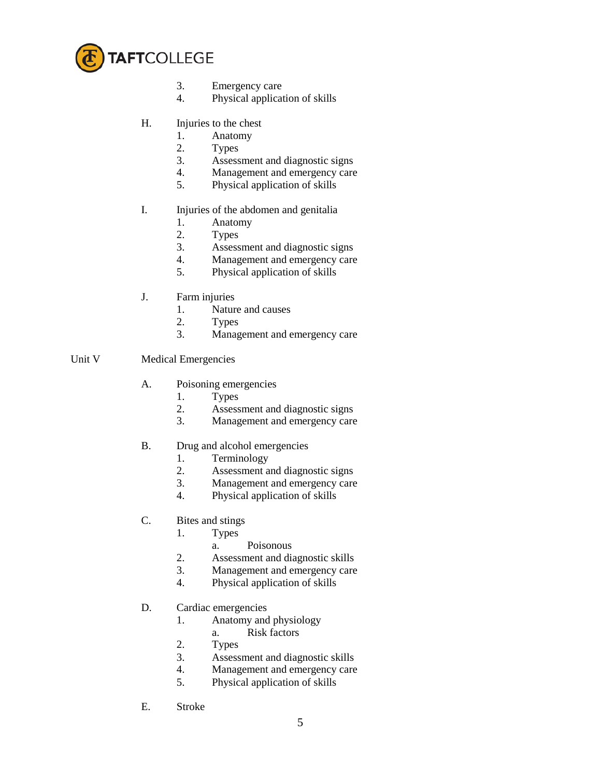

- 3. Emergency care
- 4. Physical application of skills
- H. Injuries to the chest
	- 1. Anatomy
	- 2. Types
	- 3. Assessment and diagnostic signs
	- 4. Management and emergency care
	- 5. Physical application of skills

### I. Injuries of the abdomen and genitalia

- 1. Anatomy
- 2. Types
- 3. Assessment and diagnostic signs
- 4. Management and emergency care
- 5. Physical application of skills
- J. Farm injuries
	- 1. Nature and causes
	- 2. Types
	- 3. Management and emergency care

### Unit V Medical Emergencies

- A. Poisoning emergencies
	- 1. Types
	- 2. Assessment and diagnostic signs
	- 3. Management and emergency care
- B. Drug and alcohol emergencies
	- 1. Terminology
	- 2. Assessment and diagnostic signs
	- 3. Management and emergency care
	- 4. Physical application of skills
- C. Bites and stings
	- 1. Types
		- a. Poisonous
	- 2. Assessment and diagnostic skills
	- 3. Management and emergency care
	- 4. Physical application of skills
- D. Cardiac emergencies
	- 1. Anatomy and physiology
		- a. Risk factors
	- 2. Types
	- 3. Assessment and diagnostic skills
	- 4. Management and emergency care
	- 5. Physical application of skills
- E. Stroke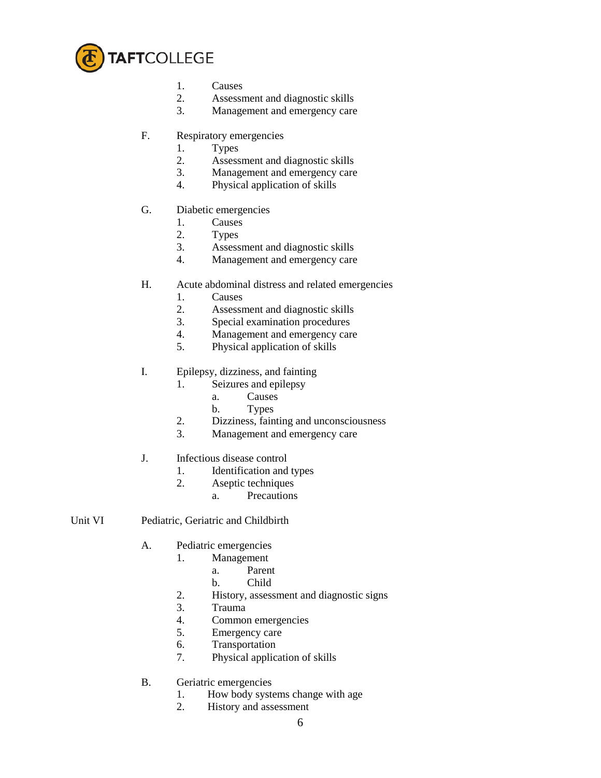

- 1. Causes<br>2. Assessi
- Assessment and diagnostic skills
- 3. Management and emergency care
- F. Respiratory emergencies
	- 1. Types
	- 2. Assessment and diagnostic skills
	- 3. Management and emergency care
	- 4. Physical application of skills
- G. Diabetic emergencies
	- 1. Causes
	- 2. Types
	- 3. Assessment and diagnostic skills
	- 4. Management and emergency care
- H. Acute abdominal distress and related emergencies
	- 1. Causes
	- 2. Assessment and diagnostic skills
	- 3. Special examination procedures
	- 4. Management and emergency care
	- 5. Physical application of skills
- I. Epilepsy, dizziness, and fainting
	- 1. Seizures and epilepsy
		- a. Causes
			- b. Types
	- 2. Dizziness, fainting and unconsciousness
	- 3. Management and emergency care
- J. Infectious disease control
	- 1. Identification and types
	- 2. Aseptic techniques
		- a. Precautions
- Unit VI Pediatric, Geriatric and Childbirth
	- A. Pediatric emergencies
		- 1. Management
			- a. Parent
			- b. Child
		- 2. History, assessment and diagnostic signs
		- 3. Trauma
		- 4. Common emergencies
		- 5. Emergency care
		- 6. Transportation
		- 7. Physical application of skills
	- B. Geriatric emergencies
		- 1. How body systems change with age
		- 2. History and assessment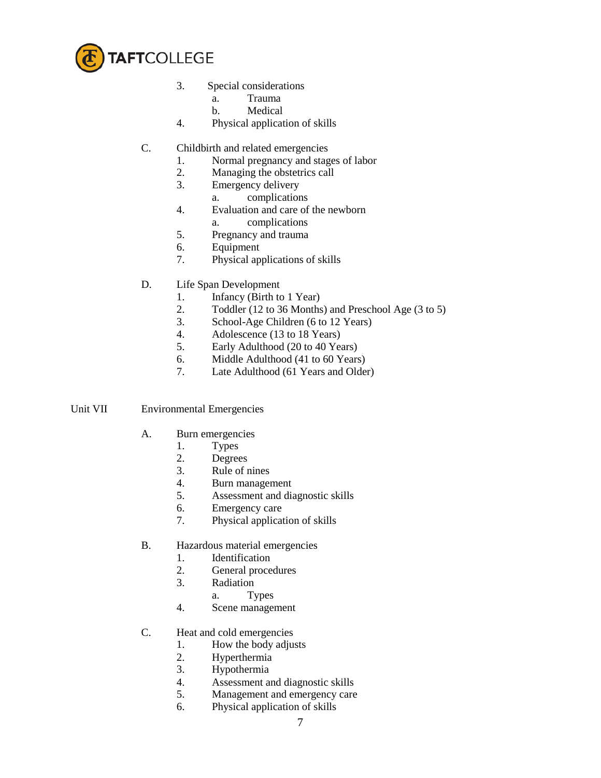

- 3. Special considerations
	- a. Trauma
	- b. Medical
- 4. Physical application of skills
- C. Childbirth and related emergencies
	- 1. Normal pregnancy and stages of labor
	- 2. Managing the obstetrics call
	- 3. Emergency delivery
		- a. complications
	- 4. Evaluation and care of the newborn
		- a. complications
	- 5. Pregnancy and trauma
	- 6. Equipment
	- 7. Physical applications of skills
- D. Life Span Development
	- 1. Infancy (Birth to 1 Year)
	- 2. Toddler (12 to 36 Months) and Preschool Age (3 to 5)
	- 3. School-Age Children (6 to 12 Years)
	- 4. Adolescence (13 to 18 Years)
	- 5. Early Adulthood (20 to 40 Years)
	- 6. Middle Adulthood (41 to 60 Years)
	- 7. Late Adulthood (61 Years and Older)

### Unit VII Environmental Emergencies

- A. Burn emergencies
	- 1. Types
	- 2. Degrees
	- 3. Rule of nines
	- 4. Burn management
	- 5. Assessment and diagnostic skills
	- 6. Emergency care
	- 7. Physical application of skills
- B. Hazardous material emergencies
	- 1. Identification
	- 2. General procedures
	- 3. Radiation
		- a. Types
	- 4. Scene management
- C. Heat and cold emergencies
	- 1. How the body adjusts
	- 2. Hyperthermia
	- 3. Hypothermia
	- 4. Assessment and diagnostic skills
	- 5. Management and emergency care
	- 6. Physical application of skills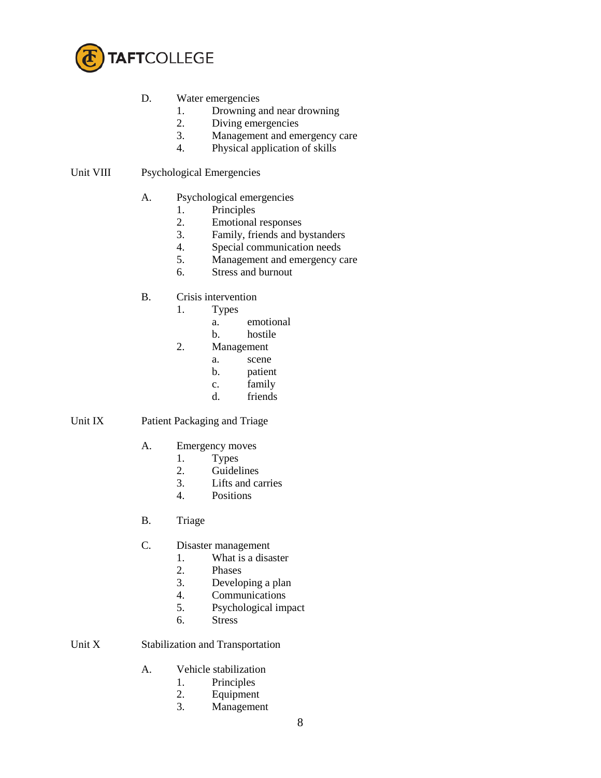

# D. Water emergencies

- 1. Drowning and near drowning
- 2. Diving emergencies
- 3. Management and emergency care
- 4. Physical application of skills

### Unit VIII Psychological Emergencies

#### A. Psychological emergencies

- 
- 1. Principles<br>2. Emotional Emotional responses
- 3. Family, friends and bystanders
- 4. Special communication needs
- 5. Management and emergency care
- 6. Stress and burnout

### B. Crisis intervention

- 1. Types
	- a. emotional
	- b. hostile
- 2. Management
	- a. scene
	- b. patient
	- c. family
	- d. friends

### Unit IX Patient Packaging and Triage

- A. Emergency moves
	-
	- 1. Types<br>2. Guidel **Guidelines**
	- 3. Lifts and carries
	- 4. Positions
- B. Triage
- C. Disaster management
	- 1. What is a disaster<br>2. Phases
	- 2. Phases
	- 3. Developing a plan
	- 4. Communications<br>5. Psychological im-
	- Psychological impact
	- 6. Stress

# Unit X Stabilization and Transportation

- A. Vehicle stabilization
	- 1. Principles<br>2. Equipment
	- **Equipment**
	- 3. Management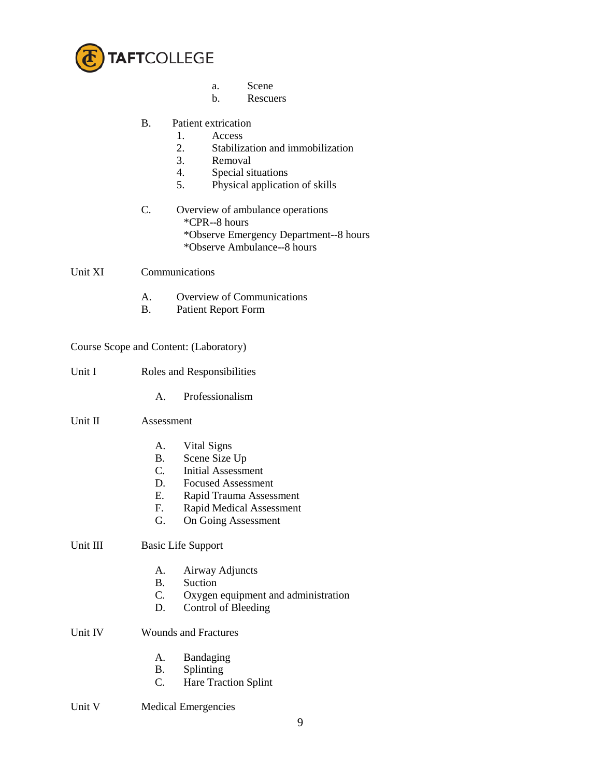

- a. Scene<br>b. Rescue
- **Rescuers**

# B. Patient extrication

- 1. Access<br>2. Stabiliz
- 2. Stabilization and immobilization<br>3. Removal
- Removal
- 4. Special situations
- 5. Physical application of skills
- C. Overview of ambulance operations \*CPR--8 hours \*Observe Emergency Department--8 hours \*Observe Ambulance--8 hours

Unit XI Communications

- A. Overview of Communications
- B. Patient Report Form

|          |                             | Course Scope and Content: (Laboratory) |  |  |
|----------|-----------------------------|----------------------------------------|--|--|
| Unit I   |                             | Roles and Responsibilities             |  |  |
|          | $A_{-}$                     | Professionalism                        |  |  |
| Unit II  | Assessment                  |                                        |  |  |
|          | A.                          | Vital Signs                            |  |  |
|          | B.                          | Scene Size Up                          |  |  |
|          | C.                          | <b>Initial Assessment</b>              |  |  |
|          | D.                          | <b>Focused Assessment</b>              |  |  |
|          | E.                          | Rapid Trauma Assessment                |  |  |
|          | F.                          | <b>Rapid Medical Assessment</b>        |  |  |
|          | G.                          | On Going Assessment                    |  |  |
| Unit III | <b>Basic Life Support</b>   |                                        |  |  |
|          | A.                          | Airway Adjuncts                        |  |  |
|          | <b>B.</b>                   | Suction                                |  |  |
|          | C.                          | Oxygen equipment and administration    |  |  |
|          | D.                          | Control of Bleeding                    |  |  |
| Unit IV  | <b>Wounds and Fractures</b> |                                        |  |  |
|          | A.                          | Bandaging                              |  |  |
|          | <b>B.</b>                   | Splinting                              |  |  |
|          | C.                          | <b>Hare Traction Splint</b>            |  |  |
| Unit V   |                             | <b>Medical Emergencies</b>             |  |  |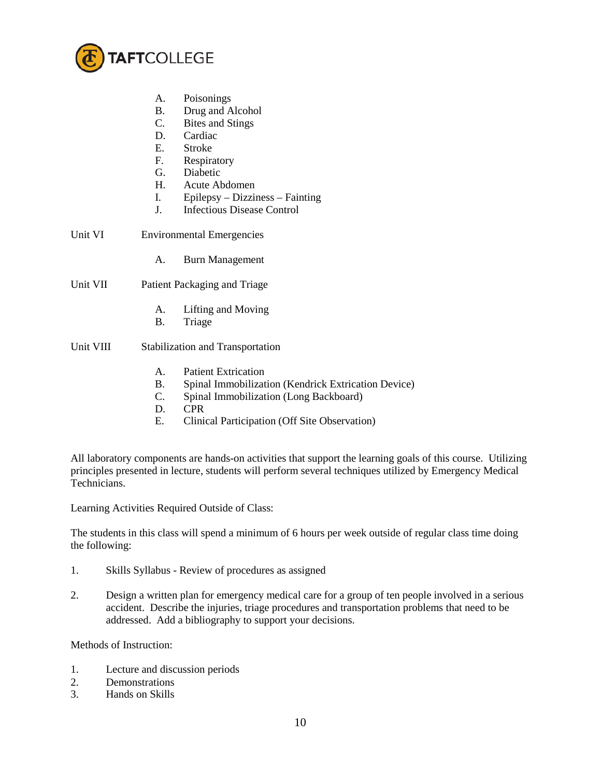

- A. Poisonings
- B. Drug and Alcohol
- C. Bites and Stings
- D. Cardiac
- E. Stroke
- F. Respiratory
- G. Diabetic
- H. Acute Abdomen
- I. Epilepsy Dizziness Fainting
- J. Infectious Disease Control
- Unit VI Environmental Emergencies
	- A. Burn Management
- Unit VII Patient Packaging and Triage
	- A. Lifting and Moving
	- B. Triage
- Unit VIII Stabilization and Transportation
	- A. Patient Extrication
	- B. Spinal Immobilization (Kendrick Extrication Device)
	- C. Spinal Immobilization (Long Backboard)
	- D. CPR
	- E. Clinical Participation (Off Site Observation)

All laboratory components are hands-on activities that support the learning goals of this course. Utilizing principles presented in lecture, students will perform several techniques utilized by Emergency Medical Technicians.

Learning Activities Required Outside of Class:

The students in this class will spend a minimum of 6 hours per week outside of regular class time doing the following:

- 1. Skills Syllabus Review of procedures as assigned
- 2. Design a written plan for emergency medical care for a group of ten people involved in a serious accident. Describe the injuries, triage procedures and transportation problems that need to be addressed. Add a bibliography to support your decisions.

Methods of Instruction:

- 1. Lecture and discussion periods
- 2. Demonstrations
- 3. Hands on Skills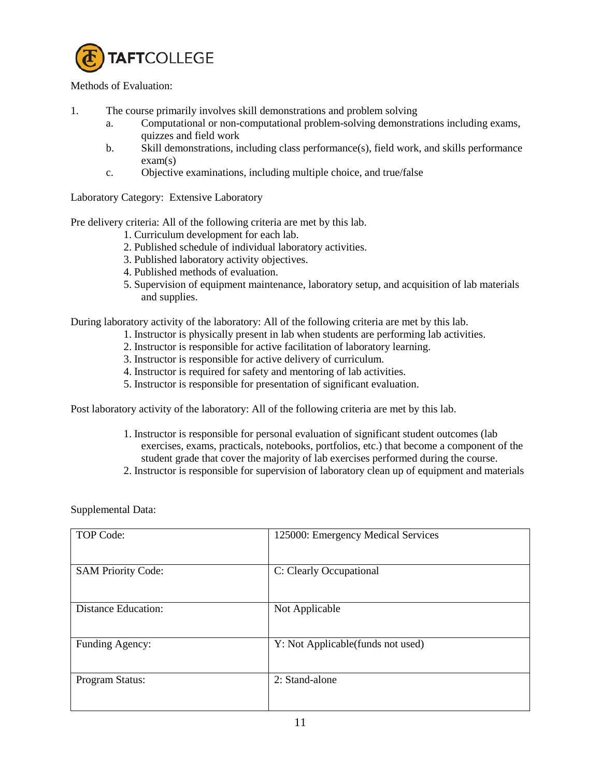

### Methods of Evaluation:

- 1. The course primarily involves skill demonstrations and problem solving
	- a. Computational or non-computational problem-solving demonstrations including exams, quizzes and field work
	- b. Skill demonstrations, including class performance(s), field work, and skills performance exam(s)
	- c. Objective examinations, including multiple choice, and true/false

Laboratory Category: Extensive Laboratory

Pre delivery criteria: All of the following criteria are met by this lab.

- 1. Curriculum development for each lab.
- 2. Published schedule of individual laboratory activities.
- 3. Published laboratory activity objectives.
- 4. Published methods of evaluation.
- 5. Supervision of equipment maintenance, laboratory setup, and acquisition of lab materials and supplies.

During laboratory activity of the laboratory: All of the following criteria are met by this lab.

- 1. Instructor is physically present in lab when students are performing lab activities.
- 2. Instructor is responsible for active facilitation of laboratory learning.
- 3. Instructor is responsible for active delivery of curriculum.
- 4. Instructor is required for safety and mentoring of lab activities.
- 5. Instructor is responsible for presentation of significant evaluation.

Post laboratory activity of the laboratory: All of the following criteria are met by this lab.

- 1. Instructor is responsible for personal evaluation of significant student outcomes (lab exercises, exams, practicals, notebooks, portfolios, etc.) that become a component of the student grade that cover the majority of lab exercises performed during the course.
- 2. Instructor is responsible for supervision of laboratory clean up of equipment and materials

Supplemental Data:

| TOP Code:                  | 125000: Emergency Medical Services |
|----------------------------|------------------------------------|
| <b>SAM Priority Code:</b>  | C: Clearly Occupational            |
| <b>Distance Education:</b> | Not Applicable                     |
| Funding Agency:            | Y: Not Applicable (funds not used) |
| Program Status:            | 2: Stand-alone                     |